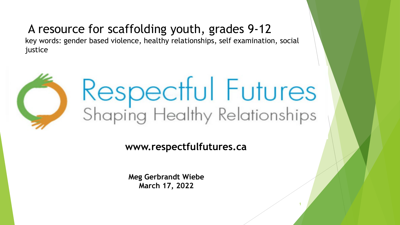### A resource for scaffolding youth, grades 9-12

key words: gender based violence, healthy relationships, self examination, social justice



# Respectful Futures<br>Shaping Healthy Relationships

1

**www.respectfulfutures.ca**

**Meg Gerbrandt Wiebe March 17, 2022**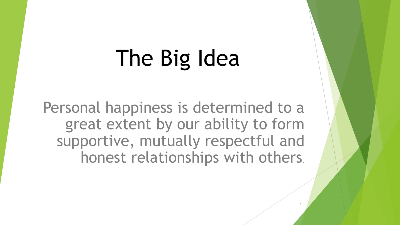# The Big Idea

Personal happiness is determined to a great extent by our ability to form supportive, mutually respectful and honest relationships with others.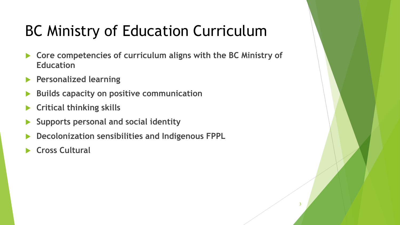# BC Ministry of Education Curriculum

- **Core competencies of curriculum aligns with the BC Ministry of Education**
- **Personalized learning**
- **Builds capacity on positive communication**
- **Critical thinking skills**
- **Supports personal and social identity**
- **Decolonization sensibilities and Indigenous FPPL**
- **Cross Cultural**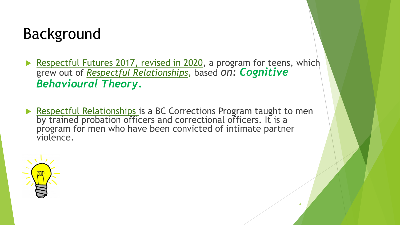# Background

- Respectful Futures 2017, revised in 2020, a program for teens, which grew out of *Respectful Relationships*, based *on: Cognitive Behavioural Theory.*
- Respectful Relationships is a BC Corrections Program taught to men by trained probation officers and correctional officers. It is a program for men who have been convicted of intimate partner violence.

4

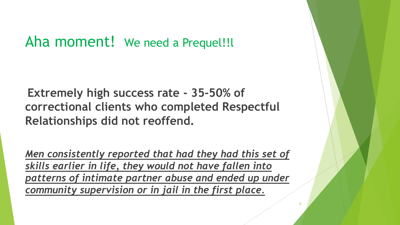## Aha moment! We need a Prequel!!l

**Extremely high success rate - 35-50% of correctional clients who completed Respectful Relationships did not reoffend.** 

*Men consistently reported that had they had this set of skills earlier in life, they would not have fallen into patterns of intimate partner abuse and ended up under community supervision or in jail in the first place.* 

5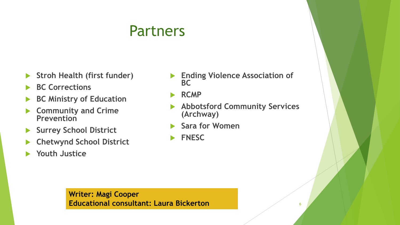# Partners

- **Stroh Health (first funder)**
- **BC Corrections**
- **BC Ministry of Education**
- **Community and Crime Prevention**
- **Surrey School District**
- **Chetwynd School District**
- **Youth Justice**
- **Ending Violence Association of BC**
- **RCMP**
- **Abbotsford Community Services (Archway)**
- **Sara for Women**
- **FNESC**

**Writer: Magi Cooper Educational consultant: Laura Bickerton** 6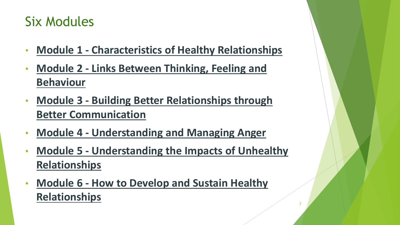# Six Modules

- **Module 1 - [Characteristics of Healthy Relationships](https://www.surreyschools.ca/respectfulfutures/teachingmaterials/module1/Pages/default.aspx)**
- **Module 2 - [Links Between Thinking, Feeling and](https://www.surreyschools.ca/respectfulfutures/teachingmaterials/module2/Pages/default.aspx)  Behaviour**
- **Module 3 - [Building Better Relationships through](https://www.surreyschools.ca/respectfulfutures/teachingmaterials/module3/Pages/default.aspx)  Better Communication**
- **Module 4 - [Understanding and Managing Anger](https://www.surreyschools.ca/respectfulfutures/teachingmaterials/module4/Pages/default.aspx)**
- **Module 5 - [Understanding the Impacts of Unhealthy](https://www.surreyschools.ca/respectfulfutures/teachingmaterials/module5/Pages/default.aspx)  Relationships**

7

• **Module 6 - [How to Develop and Sustain Healthy](https://www.surreyschools.ca/respectfulfutures/teachingmaterials/module6/Pages/default.aspx) Relationships**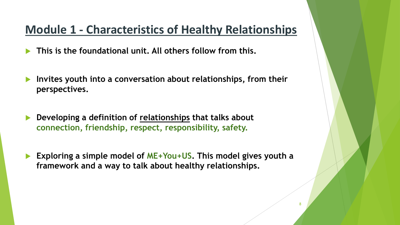#### **Module 1 - [Characteristics of Healthy Relationships](https://www.surreyschools.ca/respectfulfutures/teachingmaterials/module1/Pages/default.aspx)**

**This is the foundational unit. All others follow from this.** 

- **Invites youth into a conversation about relationships, from their perspectives.**
- **Developing a definition of relationships that talks about connection, friendship, respect, responsibility, safety.**
- **Exploring a simple model of ME+You+US. This model gives youth a framework and a way to talk about healthy relationships.**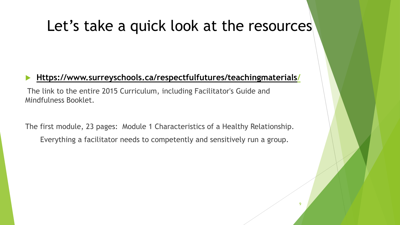# Let's take a quick look at the resources

#### **[Https://www.surreyschools.ca/respectfulfutures/teachingmaterials/](https://www.surreyschools.ca/respectfulfutures/teachingmaterials/)**

The link to the entire 2015 Curriculum, including Facilitator's Guide and Mindfulness Booklet.

The first module, 23 pages: Module 1 Characteristics of a Healthy Relationship.

Everything a facilitator needs to competently and sensitively run a group.

 $\overline{a}$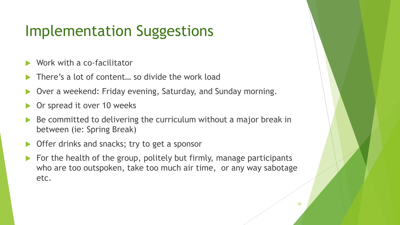# Implementation Suggestions

- Work with a co-facilitator
- There's a lot of content… so divide the work load
- Over a weekend: Friday evening, Saturday, and Sunday morning.
- Or spread it over 10 weeks
- Be committed to delivering the curriculum without a major break in between (ie: Spring Break)
- Offer drinks and snacks; try to get a sponsor
- $\blacktriangleright$  For the health of the group, politely but firmly, manage participants who are too outspoken, take too much air time, or any way sabotage etc.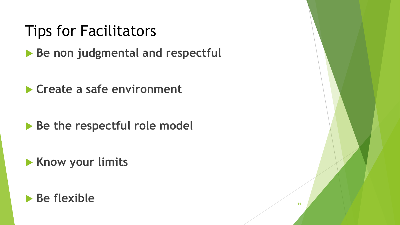# Tips for Facilitators

**Be non judgmental and respectful** 

**Create a safe environment**

**Be the respectful role model** 

**Know your limits**

#### **Be flexible**